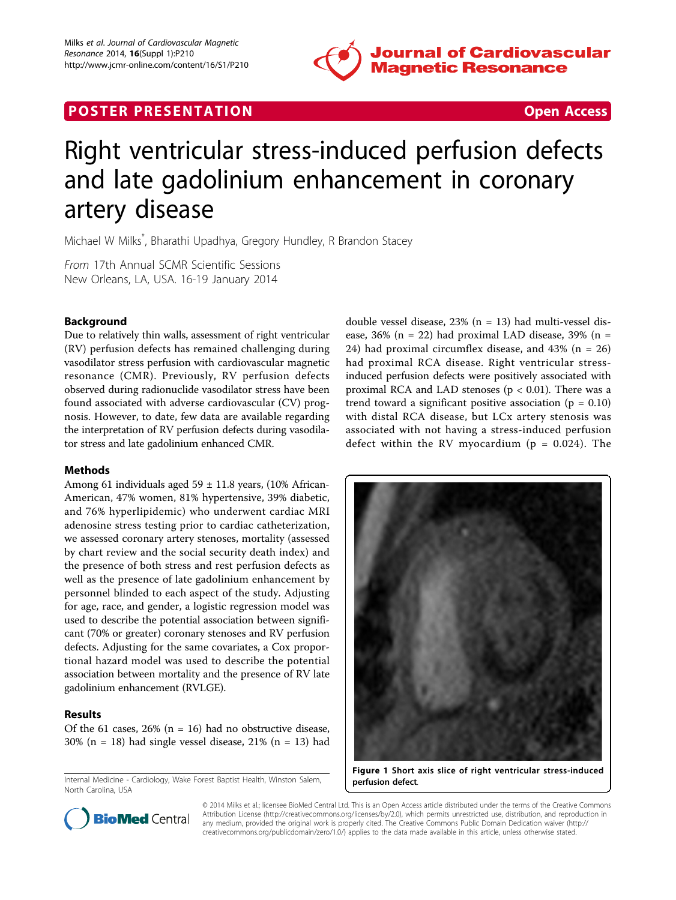

## **POSTER PRESENTATION CONSUMING THE SECOND CONSUMING THE SECOND CONSUMING THE SECOND CONSUMING THE SECOND CONSUMING THE SECOND CONSUMING THE SECOND CONSUMING THE SECOND CONSUMING THE SECOND CONSUMING THE SECOND CONSUMING**



# Right ventricular stress-induced perfusion defects and late gadolinium enhancement in coronary artery disease

Michael W Milks\* , Bharathi Upadhya, Gregory Hundley, R Brandon Stacey

From 17th Annual SCMR Scientific Sessions New Orleans, LA, USA. 16-19 January 2014

### Background

Due to relatively thin walls, assessment of right ventricular (RV) perfusion defects has remained challenging during vasodilator stress perfusion with cardiovascular magnetic resonance (CMR). Previously, RV perfusion defects observed during radionuclide vasodilator stress have been found associated with adverse cardiovascular (CV) prognosis. However, to date, few data are available regarding the interpretation of RV perfusion defects during vasodilator stress and late gadolinium enhanced CMR.

#### Methods

Among 61 individuals aged  $59 \pm 11.8$  years, (10% African-American, 47% women, 81% hypertensive, 39% diabetic, and 76% hyperlipidemic) who underwent cardiac MRI adenosine stress testing prior to cardiac catheterization, we assessed coronary artery stenoses, mortality (assessed by chart review and the social security death index) and the presence of both stress and rest perfusion defects as well as the presence of late gadolinium enhancement by personnel blinded to each aspect of the study. Adjusting for age, race, and gender, a logistic regression model was used to describe the potential association between significant (70% or greater) coronary stenoses and RV perfusion defects. Adjusting for the same covariates, a Cox proportional hazard model was used to describe the potential association between mortality and the presence of RV late gadolinium enhancement (RVLGE).

#### Results

Of the 61 cases,  $26\%$  (n = 16) had no obstructive disease, 30% ( $n = 18$ ) had single vessel disease, 21% ( $n = 13$ ) had

Internal Medicine - Cardiology, Wake Forest Baptist Health, Winston Salem, North Carolina, USA

double vessel disease, 23% (n = 13) had multi-vessel disease,  $36\%$  (n = 22) had proximal LAD disease,  $39\%$  (n = 24) had proximal circumflex disease, and  $43\%$  (n = 26) had proximal RCA disease. Right ventricular stressinduced perfusion defects were positively associated with proximal RCA and LAD stenoses ( $p < 0.01$ ). There was a trend toward a significant positive association ( $p = 0.10$ ) with distal RCA disease, but LCx artery stenosis was associated with not having a stress-induced perfusion defect within the RV myocardium ( $p = 0.024$ ). The





© 2014 Milks et al.; licensee BioMed Central Ltd. This is an Open Access article distributed under the terms of the Creative Commons Attribution License [\(http://creativecommons.org/licenses/by/2.0](http://creativecommons.org/licenses/by/2.0)), which permits unrestricted use, distribution, and reproduction in any medium, provided the original work is properly cited. The Creative Commons Public Domain Dedication waiver [\(http://](http://creativecommons.org/publicdomain/zero/1.0/) [creativecommons.org/publicdomain/zero/1.0/](http://creativecommons.org/publicdomain/zero/1.0/)) applies to the data made available in this article, unless otherwise stated.